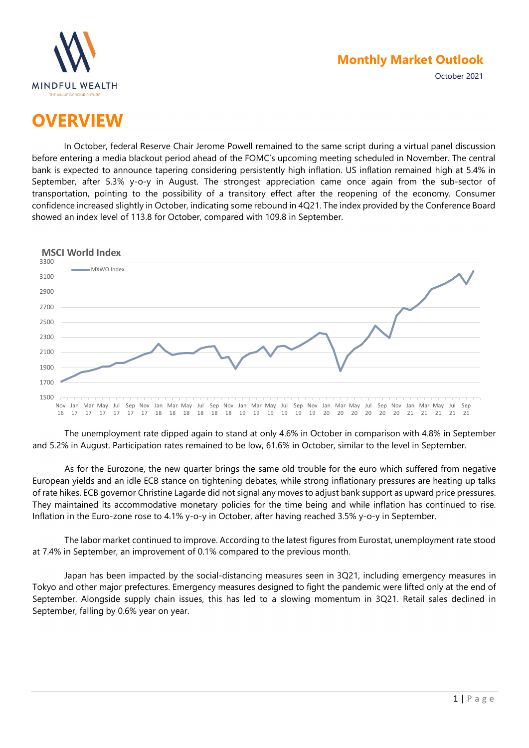

October 2021

# **OVERVIEW**

In October, federal Reserve Chair Jerome Powell remained to the same script during a virtual panel discussion before entering a media blackout period ahead of the FOMC's upcoming meeting scheduled in November. The central bank is expected to announce tapering considering persistently high inflation. US inflation remained high at 5.4% in September, after 5.3% y-o-y in August. The strongest appreciation came once again from the sub-sector of transportation, pointing to the possibility of a transitory effect after the reopening of the economy. Consumer confidence increased slightly in October, indicating some rebound in 4Q21. The index provided by the Conference Board showed an index level of 113.8 for October, compared with 109.8 in September.



The unemployment rate dipped again to stand at only 4.6% in October in comparison with 4.8% in September and 5.2% in August. Participation rates remained to be low, 61.6% in October, similar to the level in September.

As for the Eurozone, the new quarter brings the same old trouble for the euro which suffered from negative European yields and an idle ECB stance on tightening debates, while strong inflationary pressures are heating up talks of rate hikes. ECB governor Christine Lagarde did not signal any moves to adjust bank support as upward price pressures. They maintained its accommodative monetary policies for the time being and while inflation has continued to rise. Inflation in the Euro-zone rose to 4.1% y-o-y in October, after having reached 3.5% y-o-y in September.

The labor market continued to improve. According to the latest figures from Eurostat, unemployment rate stood at 7.4% in September, an improvement of 0.1% compared to the previous month.

Japan has been impacted by the social-distancing measures seen in 3Q21, including emergency measures in Tokyo and other major prefectures. Emergency measures designed to fight the pandemic were lifted only at the end of September. Alongside supply chain issues, this has led to a slowing momentum in 3Q21. Retail sales declined in September, falling by 0.6% year on year.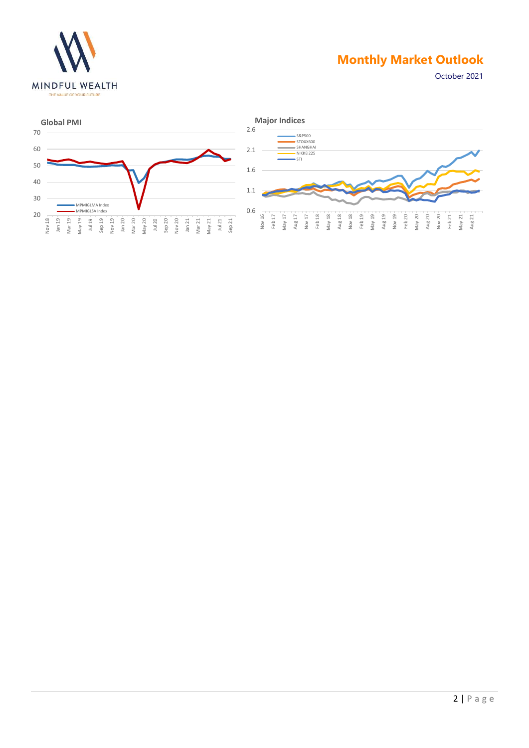

October 2021



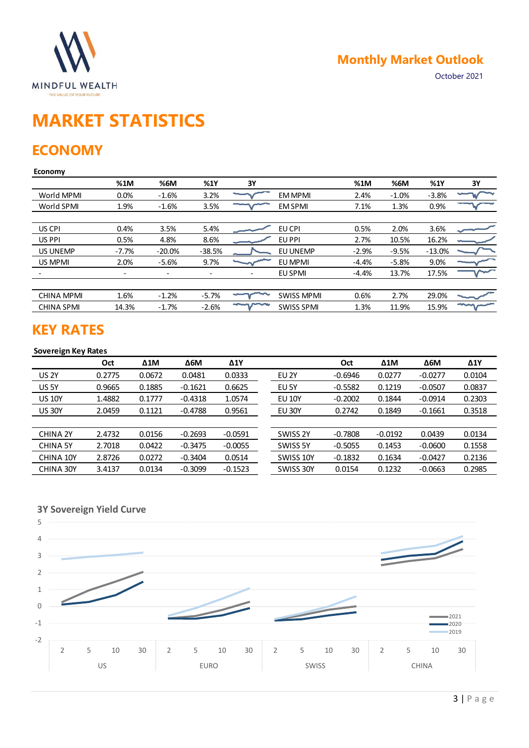

# MARKET STATISTICS

## **ECONOMY**

### Economy

| <b>MINDFUL WEALTH</b><br>THE VALUE OF YOUR FUTURE     |                          |                          |                          |                          |                   |           | <b>Monthly Market Outlook</b> |             | October 2021 |
|-------------------------------------------------------|--------------------------|--------------------------|--------------------------|--------------------------|-------------------|-----------|-------------------------------|-------------|--------------|
| <b>MARKET STATISTICS</b><br><b>ECONOMY</b><br>Economy |                          |                          |                          |                          |                   |           |                               |             |              |
|                                                       | %1M                      | %6M                      | %1Y                      | 3Y                       |                   | %1M       | %6M                           | %1Y         | 3Y           |
| World MPMI                                            | 0.0%                     | $-1.6%$                  | 3.2%                     |                          | EM MPMI           | 2.4%      | $-1.0%$                       | $-3.8%$     |              |
| World SPMI                                            | 1.9%                     | $-1.6%$                  | 3.5%                     |                          | <b>EM SPMI</b>    | 7.1%      | 1.3%                          | 0.9%        |              |
| US CPI                                                | 0.4%                     | 3.5%                     | 5.4%                     |                          | EU CPI            | 0.5%      | 2.0%                          | 3.6%        |              |
| US PPI                                                | 0.5%                     | 4.8%                     | 8.6%                     |                          | EU PPI            | 2.7%      | 10.5%                         | 16.2%       |              |
| US UNEMP                                              | $-7.7%$                  | $-20.0%$                 | $-38.5%$                 |                          | EU UNEMP          | $-2.9%$   | $-9.5%$                       | $-13.0%$    |              |
| US MPMI                                               | 2.0%                     | $-5.6%$                  | 9.7%                     |                          | EU MPMI           | $-4.4%$   | $-5.8%$                       | 9.0%        |              |
|                                                       | $\overline{\phantom{a}}$ | $\overline{\phantom{a}}$ | $\overline{\phantom{a}}$ | $\overline{\phantom{a}}$ | EU SPMI           | $-4.4%$   | 13.7%                         | 17.5%       |              |
| <b>CHINA MPMI</b>                                     | 1.6%                     | $-1.2%$                  | $-5.7%$                  |                          | <b>SWISS MPMI</b> | 0.6%      | 2.7%                          | 29.0%       |              |
| <b>CHINA SPMI</b>                                     | 14.3%                    | $-1.7%$                  | $-2.6%$                  | $\sim$                   | <b>SWISS SPMI</b> | 1.3%      | 11.9%                         | 15.9%       | ∼            |
| <b>KEY RATES</b><br><b>Sovereign Key Rates</b>        |                          |                          |                          |                          |                   |           |                               |             |              |
|                                                       | Oct                      | $\Delta 1\text{M}$       | $\Delta 6M$              | $\Delta$ 1Y              |                   | Oct       | $\Delta 1$ M                  | $\Delta 6M$ | $\Delta$ 1Y  |
| <b>US 2Y</b>                                          | 0.2775                   | 0.0672                   | 0.0481                   | 0.0333                   | EU <sub>2Y</sub>  | $-0.6946$ | 0.0277                        | $-0.0277$   | 0.0104       |
| US 5Y                                                 | 0.9665                   | 0.1885                   | $-0.1621$                | 0.6625                   | EU 5Y             | $-0.5582$ | 0.1219                        | $-0.0507$   | 0.0837       |
| <b>US 10Y</b>                                         | 1.4882                   | 0.1777                   | $-0.4318$                | 1.0574                   | <b>EU 10Y</b>     | $-0.2002$ | 0.1844                        | $-0.0914$   | 0.2303       |
| <b>US 30Y</b>                                         | 2.0459                   | 0.1121                   | $-0.4788$                | 0.9561                   | <b>EU 30Y</b>     | 0.2742    | 0.1849                        | $-0.1661$   | 0.3518       |
| CHINA 2Y                                              | 2.4732                   | 0.0156                   | $-0.2693$                | $-0.0591$                | SWISS 2Y          |           | $-0.0192$                     | 0.0439      | 0.0134       |
|                                                       |                          |                          |                          |                          |                   | $-0.7808$ |                               |             |              |
| <b>CHINA 5Y</b>                                       | 2.7018                   | 0.0422                   | $-0.3475$                | $-0.0055$                | SWISS 5Y          | $-0.5055$ | 0.1453                        | $-0.0600$   | 0.1558       |
| CHINA 10Y                                             | 2.8726                   | 0.0272                   | $-0.3404$                | 0.0514                   | SWISS 10Y         | $-0.1832$ | 0.1634                        | $-0.0427$   | 0.2136       |
| CHINA 30Y                                             | 3.4137                   | 0.0134                   | $-0.3099$                | $-0.1523$                | SWISS 30Y         | 0.0154    | 0.1232                        | $-0.0663$   | 0.2985       |

## KEY RATES

### Sovereign Key Rates

| US CPI                                         | 0.4%           | 3.5%                     | 5.4%                     |                          | EU CPI            | 0.5%      | 2.0%         | 3.6%        |            |
|------------------------------------------------|----------------|--------------------------|--------------------------|--------------------------|-------------------|-----------|--------------|-------------|------------|
| US PPI                                         | 0.5%           | 4.8%                     | 8.6%                     |                          | EU PPI            | 2.7%      | 10.5%        | 16.2%       |            |
| <b>US UNEMP</b>                                | $-7.7%$        | $-20.0%$                 | $-38.5%$                 |                          | EU UNEMP          | $-2.9%$   | $-9.5%$      | $-13.0%$    |            |
| US MPMI                                        | 2.0%           | $-5.6%$                  | 9.7%                     |                          | EU MPMI           | $-4.4%$   | $-5.8%$      | 9.0%        |            |
|                                                | $\blacksquare$ | $\overline{\phantom{a}}$ | $\overline{\phantom{a}}$ | $\overline{\phantom{a}}$ | EU SPMI           | $-4.4%$   | 13.7%        | 17.5%       |            |
| <b>CHINA MPMI</b>                              | 1.6%           | $-1.2%$                  | $-5.7%$                  | لمحرست                   | <b>SWISS MPMI</b> | 0.6%      | 2.7%         | 29.0%       |            |
| <b>CHINA SPMI</b>                              | 14.3%          | $-1.7%$                  | $-2.6%$                  | سيرسب                    | <b>SWISS SPMI</b> | 1.3%      | 11.9%        | 15.9%       | ∼          |
| <b>KEY RATES</b><br><b>Sovereign Key Rates</b> |                |                          |                          |                          |                   |           |              |             |            |
|                                                | Oct            | $\Delta 1\text{M}$       | $\Delta 6M$              | $\Delta$ 1Y              |                   | Oct       | $\Delta 1$ M | $\Delta 6M$ | $\Delta 1$ |
| <b>US 2Y</b>                                   | 0.2775         | 0.0672                   | 0.0481                   | 0.0333                   | EU <sub>2Y</sub>  | $-0.6946$ | 0.0277       | $-0.0277$   | 0.0104     |
| US 5Y                                          | 0.9665         | 0.1885                   | $-0.1621$                | 0.6625                   | EU 5Y             | $-0.5582$ | 0.1219       | $-0.0507$   | 0.0837     |
| <b>US 10Y</b>                                  | 1.4882         | 0.1777                   | $-0.4318$                | 1.0574                   | <b>EU 10Y</b>     | $-0.2002$ | 0.1844       | $-0.0914$   | 0.2303     |
| <b>US 30Y</b>                                  | 2.0459         | 0.1121                   | $-0.4788$                | 0.9561                   | <b>EU 30Y</b>     | 0.2742    | 0.1849       | $-0.1661$   | 0.3518     |
|                                                |                |                          |                          |                          |                   |           |              |             |            |
| <b>CHINA 2Y</b>                                | 2.4732         | 0.0156                   | $-0.2693$                | $-0.0591$                | SWISS 2Y          | $-0.7808$ | $-0.0192$    | 0.0439      | 0.0134     |
| <b>CHINA 5Y</b>                                | 2.7018         | 0.0422                   | $-0.3475$                | $-0.0055$                | SWISS 5Y          | $-0.5055$ | 0.1453       | $-0.0600$   | 0.1558     |
| CHINA 10Y                                      | 2.8726         | 0.0272                   | $-0.3404$                | 0.0514                   | SWISS 10Y         | $-0.1832$ | 0.1634       | $-0.0427$   | 0.2136     |
| CHINA 30Y                                      | 3.4137         | 0.0134                   | $-0.3099$                | $-0.1523$                | SWISS 30Y         | 0.0154    | 0.1232       | $-0.0663$   | 0.2985     |
| <b>3Y Sovereign Yield Curve</b><br>5           |                |                          |                          |                          |                   |           |              |             |            |

### 3Y Sovereign Yield Curve

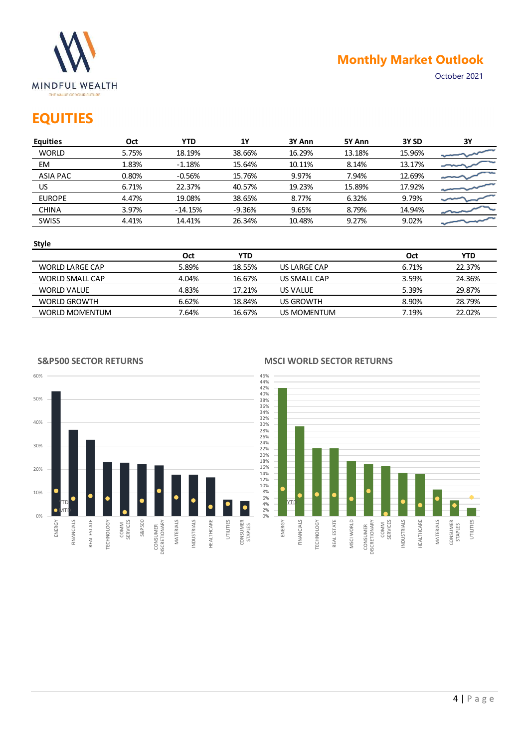

## **EQUITIES**

|                                                                      |       |            |            |                  |        | <b>Monthly Market Outlook</b> |              |
|----------------------------------------------------------------------|-------|------------|------------|------------------|--------|-------------------------------|--------------|
| <b>MINDFUL WEALTH</b><br>THE VALUE OF YOUR FUTURE<br><b>EQUITIES</b> |       |            |            |                  |        |                               | October 2021 |
| <b>Equities</b>                                                      | Oct   | <b>YTD</b> | 1Y         | 3Y Ann           | 5Y Ann | 3Y SD                         | 3Y           |
| <b>WORLD</b>                                                         | 5.75% | 18.19%     | 38.66%     | 16.29%           | 13.18% | 15.96%                        |              |
| EM                                                                   | 1.83% | $-1.18%$   | 15.64%     | 10.11%           | 8.14%  | 13.17%                        |              |
| <b>ASIA PAC</b>                                                      | 0.80% | $-0.56%$   | 15.76%     | 9.97%            | 7.94%  | 12.69%                        |              |
| US.                                                                  | 6.71% | 22.37%     | 40.57%     | 19.23%           | 15.89% | 17.92%                        |              |
| <b>EUROPE</b>                                                        | 4.47% | 19.08%     | 38.65%     | 8.77%            | 6.32%  | 9.79%                         |              |
| <b>CHINA</b>                                                         | 3.97% | $-14.15%$  | $-9.36%$   | 9.65%            | 8.79%  | 14.94%                        |              |
| SWISS                                                                | 4.41% | 14.41%     | 26.34%     | 10.48%           | 9.27%  | 9.02%                         |              |
|                                                                      |       |            |            |                  |        |                               |              |
| <b>Style</b>                                                         |       |            |            |                  |        | Oct                           | <b>YTD</b>   |
|                                                                      |       | Oct        | <b>YTD</b> |                  |        |                               |              |
| <b>WORLD LARGE CAP</b>                                               |       | 5.89%      | 18.55%     | US LARGE CAP     |        | 6.71%                         | 22.37%       |
| WORLD SMALL CAP                                                      |       | 4.04%      | 16.67%     | US SMALL CAP     |        | 3.59%                         | 24.36%       |
| <b>WORLD VALUE</b>                                                   |       | 4.83%      | 17.21%     | US VALUE         |        | 5.39%                         | 29.87%       |
| <b>WORLD GROWTH</b>                                                  |       | 6.62%      | 18.84%     | <b>US GROWTH</b> |        | 8.90%                         | 28.79%       |

### Style

|                     | Oct   | YTD    |              | Oct   | YTD    |
|---------------------|-------|--------|--------------|-------|--------|
| WORLD LARGE CAP     | 5.89% | 18.55% | US LARGE CAP | 6.71% | 22.37% |
| WORLD SMALL CAP     | 4.04% | 16.67% | US SMALL CAP | 3.59% | 24.36% |
| <b>WORLD VALUE</b>  | 4.83% | 17.21% | US VALUE     | 5.39% | 29.87% |
| <b>WORLD GROWTH</b> | 6.62% | 18.84% | US GROWTH    | 8.90% | 28.79% |
| WORLD MOMENTUM      | .64%  | 16.67% | US MOMENTUM  | 7.19% | 22.02% |

### S&P500 SECTOR RETURNS





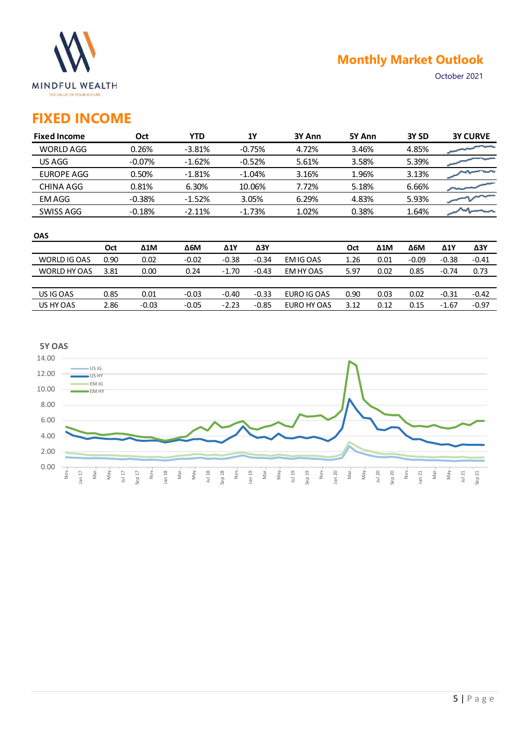

## FIXED INCOME

|                                            |      |              |                      |              |             |             |                |              | <b>Monthly Market Outlook</b> |              |                 |
|--------------------------------------------|------|--------------|----------------------|--------------|-------------|-------------|----------------|--------------|-------------------------------|--------------|-----------------|
| MINDFUL WEALTH<br>THE VALUE OF YOUR FUTURE |      |              |                      |              |             |             |                |              |                               | October 2021 |                 |
| <b>FIXED INCOME</b>                        |      |              |                      |              |             |             |                |              |                               |              |                 |
| <b>Fixed Income</b>                        |      | Oct          | <b>YTD</b>           |              | <b>1Y</b>   | 3Y Ann      | 5Y Ann         |              | 3Y SD                         |              | <b>3Y CURVE</b> |
| <b>WORLD AGG</b>                           |      | 0.26%        | $-3.81%$             |              | $-0.75%$    | 4.72%       | 3.46%<br>3.58% |              | 4.85%                         |              |                 |
| US AGG                                     |      | $-0.07%$     | $-1.62%$             |              | $-0.52%$    | 5.61%       |                |              | 5.39%                         |              |                 |
| <b>EUROPE AGG</b>                          |      | 0.50%        | $-1.81%$             |              | $-1.04%$    | 3.16%       | 1.96%          |              | 3.13%                         |              |                 |
| <b>CHINA AGG</b>                           |      | 0.81%        | 6.30%                |              | 10.06%      | 7.72%       | 5.18%          |              | 6.66%                         |              |                 |
| <b>EMAGG</b>                               |      | $-0.38%$     | $-1.52%$             |              | 3.05%       | 6.29%       | 4.83%          |              | 5.93%                         |              |                 |
| SWISS AGG                                  |      | $-0.18%$     | $-2.11%$             |              | $-1.73%$    | 1.02%       | 0.38%          |              | 1.64%                         |              |                 |
|                                            |      |              |                      |              |             |             |                |              |                               |              |                 |
| <b>OAS</b>                                 |      |              |                      |              |             |             |                |              |                               |              |                 |
|                                            | Oct  | $\Delta 1$ M | $\Delta 6\mathsf{M}$ | $\Delta 1$ Y | $\Delta 3Y$ |             | Oct            | $\Delta 1$ M | $\Delta 6M$                   | $\Delta$ 1Y  | $\Delta 3Y$     |
| WORLD IG OAS                               | 0.90 | 0.02         | $-0.02$              | $-0.38$      | $-0.34$     | EM IG OAS   | 1.26           | 0.01         | $-0.09$                       | $-0.38$      | $-0.41$         |
| WORLD HY OAS                               | 3.81 | 0.00         | 0.24                 | $-1.70$      | $-0.43$     | EM HY OAS   | 5.97           | 0.02         | 0.85                          | $-0.74$      | 0.73            |
| US IG OAS                                  | 0.85 | 0.01         | $-0.03$              | $-0.40$      | $-0.33$     | EURO IG OAS | 0.90           | 0.03         | 0.02                          | $-0.31$      | $-0.42$         |

| <b>OAS</b>   |      |              |         |             |         |             |      |      |         |             |         |
|--------------|------|--------------|---------|-------------|---------|-------------|------|------|---------|-------------|---------|
|              | Oct  | $\Delta 1$ M | Δ6М     | $\Delta$ 1Y | ΔЗΥ     |             | Oct  | Δ1M  | Δ6M     | $\Delta$ 1Y | ΔЗΥ     |
| WORLD IG OAS | 0.90 | 0.02         | $-0.02$ | $-0.38$     | $-0.34$ | EM IG OAS   | 1.26 | 0.01 | $-0.09$ | $-0.38$     | $-0.41$ |
| WORLD HY OAS | 3.81 | 0.00         | 0.24    | $-1.70$     | $-0.43$ | EM HY OAS   | 5.97 | 0.02 | 0.85    | $-0.74$     | 0.73    |
|              |      |              |         |             |         |             |      |      |         |             |         |
| US IG OAS    | 0.85 | 0.01         | $-0.03$ | $-0.40$     | $-0.33$ | EURO IG OAS | 0.90 | 0.03 | 0.02    | $-0.31$     | $-0.42$ |
| US HY OAS    | 2.86 | $-0.03$      | $-0.05$ | $-2.23$     | $-0.85$ | EURO HY OAS | 3.12 | 0.12 | 0.15    | $-1.67$     | $-0.97$ |
|              |      |              |         |             |         |             |      |      |         |             |         |

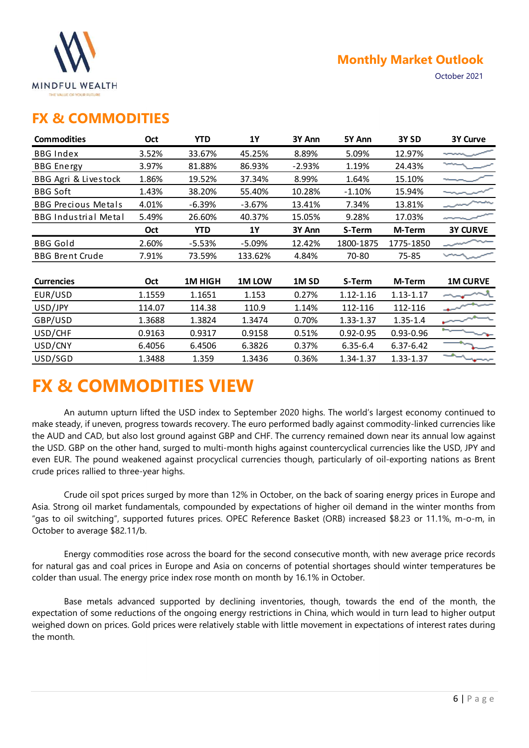

## FX & COMMODITIES

|                                                   |        |            |           |                  |              | <b>Monthly Market Outlook</b> |                 |
|---------------------------------------------------|--------|------------|-----------|------------------|--------------|-------------------------------|-----------------|
| <b>MINDFUL WEALTH</b><br>THE VALUE OF YOUR FUTURE |        |            |           |                  |              |                               | October 2021    |
| <b>FX &amp; COMMODITIES</b>                       |        |            |           |                  |              |                               |                 |
| <b>Commodities</b>                                | Oct    | <b>YTD</b> | <b>1Y</b> | 3Y Ann           | 5Y Ann       | 3Y <sub>SD</sub>              | <b>3Y Curve</b> |
| <b>BBG Index</b>                                  | 3.52%  | 33.67%     | 45.25%    | 8.89%            | 5.09%        | 12.97%                        |                 |
| <b>BBG</b> Energy                                 | 3.97%  | 81.88%     | 86.93%    | $-2.93%$         | 1.19%        | 24.43%                        |                 |
| BBG Agri & Livestock                              | 1.86%  | 19.52%     | 37.34%    | 8.99%            | 1.64%        | 15.10%                        |                 |
| <b>BBG Soft</b>                                   | 1.43%  | 38.20%     | 55.40%    | 10.28%           | $-1.10%$     | 15.94%                        |                 |
| <b>BBG Precious Metals</b>                        | 4.01%  | $-6.39%$   | $-3.67%$  | 13.41%           | 7.34%        | 13.81%                        |                 |
| <b>BBG Industrial Metal</b>                       | 5.49%  | 26.60%     | 40.37%    | 15.05%           | 9.28%        | 17.03%                        |                 |
|                                                   | Oct    | <b>YTD</b> | <b>1Y</b> | 3Y Ann           | S-Term       | M-Term                        | <b>3Y CURVE</b> |
| <b>BBG Gold</b>                                   | 2.60%  | $-5.53%$   | $-5.09%$  | 12.42%           | 1800-1875    | 1775-1850                     |                 |
| <b>BBG Brent Crude</b>                            | 7.91%  | 73.59%     | 133.62%   | 4.84%            | 70-80        | 75-85                         |                 |
| <b>Currencies</b>                                 | Oct    | 1M HIGH    | 1M LOW    | 1M <sub>SD</sub> | S-Term       | M-Term                        | <b>1M CURVE</b> |
| EUR/USD                                           | 1.1559 | 1.1651     | 1.153     | 0.27%            | 1.12-1.16    | $1.13 - 1.17$                 |                 |
| USD/JPY                                           | 114.07 | 114.38     | 110.9     | 1.14%            | 112-116      | 112-116                       |                 |
| GBP/USD                                           | 1.3688 | 1.3824     | 1.3474    | 0.70%            | 1.33-1.37    | $1.35 - 1.4$                  |                 |
| USD/CHF                                           | 0.9163 | 0.9317     | 0.9158    | 0.51%            | 0.92-0.95    | 0.93-0.96                     |                 |
| USD/CNY                                           | 6.4056 | 6.4506     | 6.3826    | 0.37%            | $6.35 - 6.4$ | 6.37-6.42                     |                 |
| USD/SGD                                           | 1.3488 | 1.359      | 1.3436    | 0.36%            | 1.34-1.37    | 1.33-1.37                     | ∼               |

# FX & COMMODITIES VIEW

An autumn upturn lifted the USD index to September 2020 highs. The world's largest economy continued to make steady, if uneven, progress towards recovery. The euro performed badly against commodity-linked currencies like the AUD and CAD, but also lost ground against GBP and CHF. The currency remained down near its annual low against the USD. GBP on the other hand, surged to multi-month highs against countercyclical currencies like the USD, JPY and even EUR. The pound weakened against procyclical currencies though, particularly of oil-exporting nations as Brent crude prices rallied to three-year highs.

Crude oil spot prices surged by more than 12% in October, on the back of soaring energy prices in Europe and Asia. Strong oil market fundamentals, compounded by expectations of higher oil demand in the winter months from "gas to oil switching", supported futures prices. OPEC Reference Basket (ORB) increased \$8.23 or 11.1%, m-o-m, in October to average \$82.11/b.

Energy commodities rose across the board for the second consecutive month, with new average price records for natural gas and coal prices in Europe and Asia on concerns of potential shortages should winter temperatures be colder than usual. The energy price index rose month on month by 16.1% in October.

Base metals advanced supported by declining inventories, though, towards the end of the month, the expectation of some reductions of the ongoing energy restrictions in China, which would in turn lead to higher output weighed down on prices. Gold prices were relatively stable with little movement in expectations of interest rates during the month.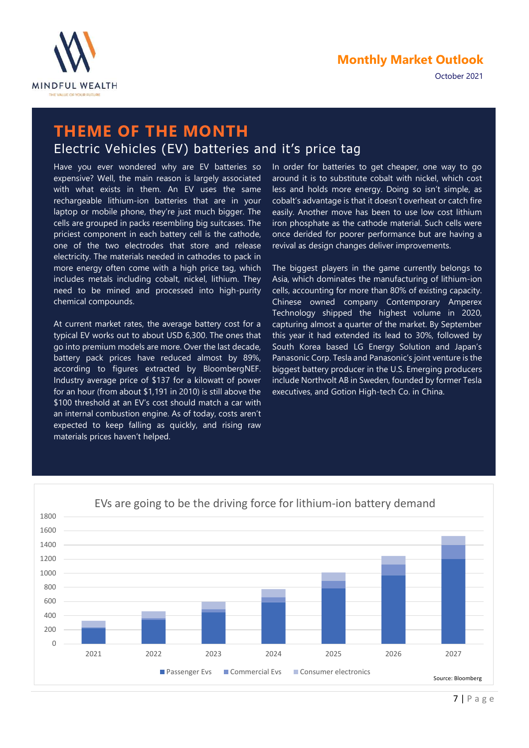

## THEME OF THE MONTH Electric Vehicles (EV) batteries and it's price tag

Have you ever wondered why are EV batteries so expensive? Well, the main reason is largely associated with what exists in them. An EV uses the same rechargeable lithium-ion batteries that are in your laptop or mobile phone, they're just much bigger. The cells are grouped in packs resembling big suitcases. The priciest component in each battery cell is the cathode, one of the two electrodes that store and release electricity. The materials needed in cathodes to pack in more energy often come with a high price tag, which includes metals including cobalt, nickel, lithium. They need to be mined and processed into high-purity chemical compounds.

At current market rates, the average battery cost for a typical EV works out to about USD 6,300. The ones that go into premium models are more. Over the last decade, battery pack prices have reduced almost by 89%, according to figures extracted by BloombergNEF. Industry average price of \$137 for a kilowatt of power for an hour (from about \$1,191 in 2010) is still above the \$100 threshold at an EV's cost should match a car with an internal combustion engine. As of today, costs aren't expected to keep falling as quickly, and rising raw materials prices haven't helped.

In order for batteries to get cheaper, one way to go around it is to substitute cobalt with nickel, which cost less and holds more energy. Doing so isn't simple, as cobalt's advantage is that it doesn't overheat or catch fire easily. Another move has been to use low cost lithium iron phosphate as the cathode material. Such cells were once derided for poorer performance but are having a revival as design changes deliver improvements.

The biggest players in the game currently belongs to Asia, which dominates the manufacturing of lithium-ion cells, accounting for more than 80% of existing capacity. Chinese owned company Contemporary Amperex Technology shipped the highest volume in 2020, capturing almost a quarter of the market. By September this year it had extended its lead to 30%, followed by South Korea based LG Energy Solution and Japan's Panasonic Corp. Tesla and Panasonic's joint venture is the biggest battery producer in the U.S. Emerging producers include Northvolt AB in Sweden, founded by former Tesla executives, and Gotion High-tech Co. in China.



### EVs are going to be the driving force for lithium-ion battery demand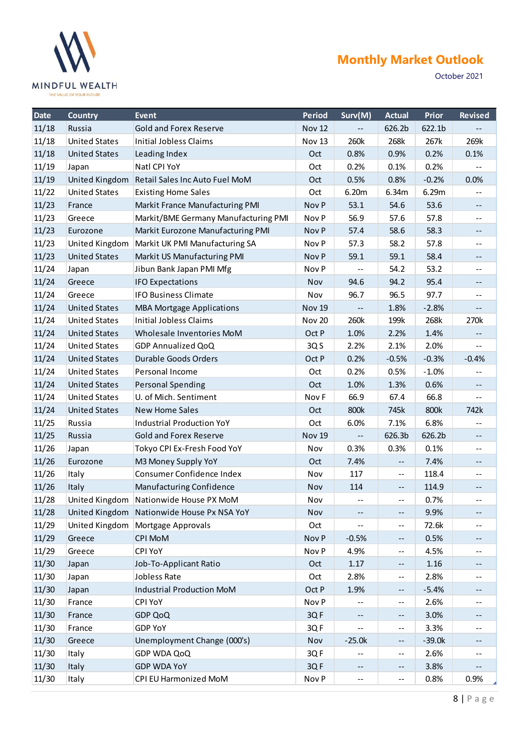

|                | <b>MINDFUL WEALTH</b><br>THE VALUE OF YOUR FUTURE |                                                                   |                      |                                               | <b>Monthly Market Outlook</b>                 |                | October 2021                                                  |
|----------------|---------------------------------------------------|-------------------------------------------------------------------|----------------------|-----------------------------------------------|-----------------------------------------------|----------------|---------------------------------------------------------------|
| Date           | <b>Country</b>                                    | Event                                                             | Period               | Surv(M)                                       | <b>Actual</b>                                 | Prior          | <b>Revised</b>                                                |
| 11/18          | Russia                                            | <b>Gold and Forex Reserve</b>                                     | <b>Nov 12</b>        | $\mathord{\hspace{1pt}\text{--}\hspace{1pt}}$ | 626.2b                                        | 622.1b         | $\mathord{\hspace{1pt}\text{--}\hspace{1pt}}$                 |
| 11/18          | <b>United States</b>                              | <b>Initial Jobless Claims</b>                                     | Nov 13               | 260k                                          | 268k                                          | 267k           | 269k                                                          |
| 11/18<br>11/19 | <b>United States</b><br>Japan                     | Leading Index<br>Natl CPI YoY                                     | Oct<br>Oct           | 0.8%<br>0.2%                                  | 0.9%<br>0.1%                                  | 0.2%<br>0.2%   | 0.1%<br>$\sim$ $-$                                            |
| 11/19          | United Kingdom                                    | Retail Sales Inc Auto Fuel MoM                                    | Oct                  | 0.5%                                          | 0.8%                                          | $-0.2%$        | 0.0%                                                          |
| 11/22          | <b>United States</b>                              | <b>Existing Home Sales</b>                                        | Oct                  | 6.20m                                         | 6.34m                                         | 6.29m          | $\mathord{\hspace{1pt}\text{--}\hspace{1pt}}$                 |
| 11/23          | France                                            | Markit France Manufacturing PMI                                   | Nov P                | 53.1                                          | 54.6                                          | 53.6           | $\mathord{\hspace{1pt}\text{--}\hspace{1pt}}$                 |
| 11/23          | Greece                                            | Markit/BME Germany Manufacturing PMI                              | Nov P                | 56.9                                          | 57.6                                          | 57.8           | $\qquad \qquad -$                                             |
| 11/23          | Eurozone                                          | Markit Eurozone Manufacturing PMI                                 | Nov P                | 57.4                                          | 58.6                                          | 58.3           | $\mathord{\hspace{1pt}\text{--}\hspace{1pt}}$                 |
| 11/23          | United Kingdom                                    | Markit UK PMI Manufacturing SA                                    | Nov P                | 57.3                                          | 58.2                                          | 57.8           | $- -$                                                         |
| 11/23          | <b>United States</b>                              | Markit US Manufacturing PMI                                       | Nov P                | 59.1                                          | 59.1                                          | 58.4           | $\qquad \qquad -$                                             |
| 11/24          | Japan                                             | Jibun Bank Japan PMI Mfg                                          | Nov P                | $\mathbf{m}$                                  | 54.2                                          | 53.2           | $\mathord{\hspace{1pt}\text{--}\hspace{1pt}}$                 |
| 11/24          | Greece                                            | <b>IFO Expectations</b>                                           | Nov                  | 94.6                                          | 94.2                                          | 95.4           | $\mathord{\hspace{1pt}\text{--}\hspace{1pt}}$                 |
| 11/24          | Greece                                            | <b>IFO Business Climate</b>                                       | Nov                  | 96.7                                          | 96.5                                          | 97.7           | $\mathord{\hspace{1pt}\text{--}\hspace{1pt}}$                 |
| 11/24          | <b>United States</b>                              | <b>MBA Mortgage Applications</b>                                  | <b>Nov 19</b>        | $\mathord{\hspace{1pt}\text{--}\hspace{1pt}}$ | 1.8%                                          | $-2.8%$        | $--$                                                          |
| 11/24          | <b>United States</b>                              | <b>Initial Jobless Claims</b>                                     | <b>Nov 20</b>        | 260k                                          | 199k                                          | 268k           | 270k                                                          |
| 11/24          | <b>United States</b>                              | Wholesale Inventories MoM                                         | Oct P                | 1.0%                                          | 2.2%                                          | 1.4%           | $\mathord{\hspace{1pt}\text{--}\hspace{1pt}}$                 |
| 11/24          | <b>United States</b>                              | <b>GDP Annualized QoQ</b>                                         | 3QS                  | 2.2%                                          | 2.1%                                          | 2.0%           | $\mathord{\hspace{1pt}\text{--}\hspace{1pt}}$                 |
| 11/24          | <b>United States</b>                              | Durable Goods Orders                                              | Oct P                | 0.2%                                          | $-0.5%$                                       | $-0.3%$        | $-0.4%$                                                       |
| 11/24          | <b>United States</b>                              | Personal Income                                                   | Oct                  | 0.2%                                          | 0.5%                                          | $-1.0%$        | $\mathord{\hspace{1pt}\text{--}\hspace{1pt}}$                 |
| 11/24          | <b>United States</b>                              | <b>Personal Spending</b>                                          | Oct                  | 1.0%                                          | 1.3%                                          | 0.6%           | $\sim$ $\sim$                                                 |
| 11/24          | <b>United States</b>                              | U. of Mich. Sentiment                                             | Nov F                | 66.9                                          | 67.4                                          | 66.8           | $\mathbf{m}$                                                  |
| 11/24          | <b>United States</b>                              | <b>New Home Sales</b>                                             | Oct                  | 800k                                          | 745k                                          | 800k           | 742k                                                          |
| 11/25          | Russia<br>Russia                                  | <b>Industrial Production YoY</b><br><b>Gold and Forex Reserve</b> | Oct<br><b>Nov 19</b> | 6.0%                                          | 7.1%<br>626.3b                                | 6.8%<br>626.2b | $\overline{\phantom{m}}$                                      |
| 11/25<br>11/26 | Japan                                             | Tokyo CPI Ex-Fresh Food YoY                                       | Nov                  | $- -$<br>0.3%                                 | 0.3%                                          | 0.1%           | $\mathord{\hspace{1pt}\text{--}\hspace{1pt}}$<br>$\mathbf{m}$ |
| 11/26          | Eurozone                                          | M3 Money Supply YoY                                               | Oct                  | 7.4%                                          | $\mathord{\hspace{1pt}\text{--}\hspace{1pt}}$ | 7.4%           | $--$                                                          |
| 11/26          | Italy                                             | Consumer Confidence Index                                         | Nov                  | 117                                           | $\mathord{\hspace{1pt}\text{--}\hspace{1pt}}$ | 118.4          | $\mathord{\hspace{1pt}\text{--}\hspace{1pt}}$                 |
| 11/26          | Italy                                             | Manufacturing Confidence                                          | Nov                  | 114                                           | $\mathord{\hspace{1pt}\text{--}\hspace{1pt}}$ | 114.9          | $\mathord{\hspace{1pt}\text{--}\hspace{1pt}}$                 |
| 11/28          |                                                   | United Kingdom Nationwide House PX MoM                            | Nov                  | $\mathbf{m}$                                  | $\mathbf{m}$                                  | 0.7%           | $\mathbf{m}$                                                  |
| 11/28          |                                                   | United Kingdom Nationwide House Px NSA YoY                        | Nov                  | $\mathord{\hspace{1pt}\text{--}\hspace{1pt}}$ | $\mathord{\hspace{1pt}\text{--}\hspace{1pt}}$ | 9.9%           | $\mathord{\hspace{1pt}\text{--}\hspace{1pt}}$                 |
| 11/29          |                                                   | United Kingdom   Mortgage Approvals                               | Oct                  | $-$                                           | $\sim$ $-$                                    | 72.6k          | $\mathbf{m}$                                                  |
| 11/29          | Greece                                            | <b>CPI MoM</b>                                                    | Nov P                | $-0.5%$                                       | $\sim$                                        | 0.5%           | $\mathord{\hspace{1pt}\text{--}\hspace{1pt}}$                 |
| 11/29          | Greece                                            | CPI YoY                                                           | Nov P                | 4.9%                                          | $\mathcal{L}_{\mathcal{F}}$                   | 4.5%           | $\mathbf{m}$                                                  |
| 11/30          | Japan                                             | Job-To-Applicant Ratio                                            | Oct                  | 1.17                                          | $\mathord{\hspace{1pt}\text{--}\hspace{1pt}}$ | 1.16           | $\mathord{\hspace{1pt}\text{--}\hspace{1pt}}$                 |
| 11/30          | Japan                                             | Jobless Rate                                                      | Oct                  | 2.8%                                          | $\mathord{\hspace{1pt}\text{--}\hspace{1pt}}$ | 2.8%           | $\qquad \qquad -$                                             |
| 11/30          | Japan                                             | <b>Industrial Production MoM</b>                                  | Oct P                | 1.9%                                          | $\mathord{\hspace{1pt}\text{--}\hspace{1pt}}$ | $-5.4%$        | $--$                                                          |
| 11/30          | France                                            | CPI YoY                                                           | Nov P                | $\mathord{\hspace{1pt}\text{--}\hspace{1pt}}$ | $- -$                                         | 2.6%           | $\mathord{\hspace{1pt}\text{--}\hspace{1pt}}$                 |
| 11/30          | France                                            | <b>GDP QoQ</b>                                                    | 3QF                  | $- -$                                         | $\overline{\phantom{a}}$                      | 3.0%           | $--$                                                          |
| 11/30          | France                                            | <b>GDP YoY</b>                                                    | 3QF                  | $\mathbf{m}$                                  | $\overline{\phantom{a}}$                      | 3.3%           | $\mathbf{m}$                                                  |
| 11/30          | Greece                                            | Unemployment Change (000's)                                       | Nov                  | $-25.0k$                                      | $\mathord{\hspace{1pt}\text{--}\hspace{1pt}}$ | $-39.0k$       | $\mathord{\hspace{1pt}\text{--}\hspace{1pt}}$                 |
| 11/30          | Italy                                             | GDP WDA QoQ                                                       | 3QF                  | $\mathbf{m}$                                  | $\sim$ $-$                                    | 2.6%           | $\mathbf{m}$                                                  |
| 11/30          | Italy                                             | <b>GDP WDA YoY</b>                                                | 3QF                  | $\mathord{\hspace{1pt}\text{--}\hspace{1pt}}$ | $\mathord{\hspace{1pt}\text{--}\hspace{1pt}}$ | 3.8%           | $- - \,$                                                      |
| 11/30          | Italy                                             | CPI EU Harmonized MoM                                             | Nov P                | $- -$                                         | $\overline{\phantom{a}}$                      | 0.8%           | 0.9%                                                          |